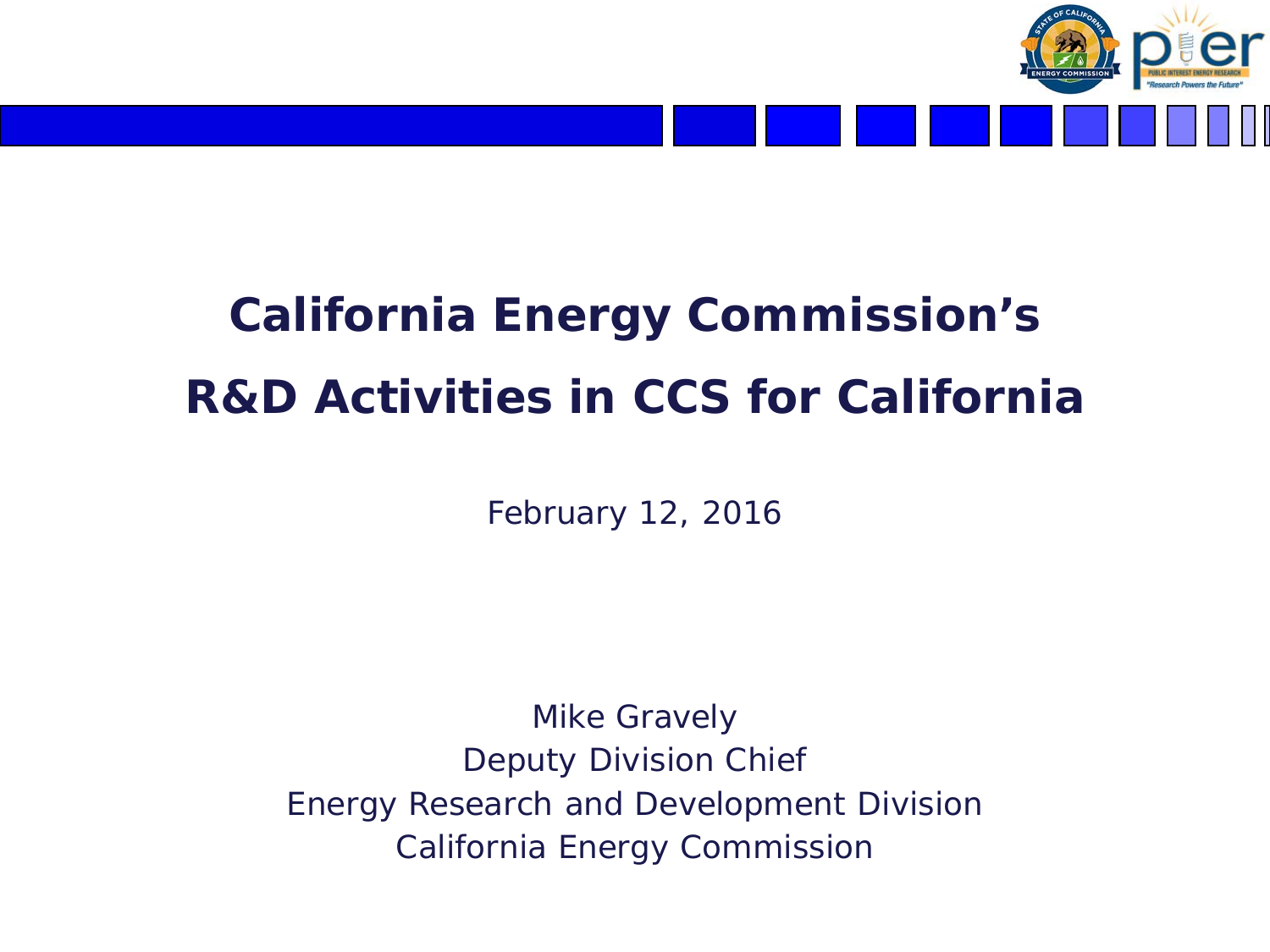

# **California Energy Commission's R&D Activities in CCS for California**

February 12, 2016

Mike Gravely Deputy Division Chief Energy Research and Development Division California Energy Commission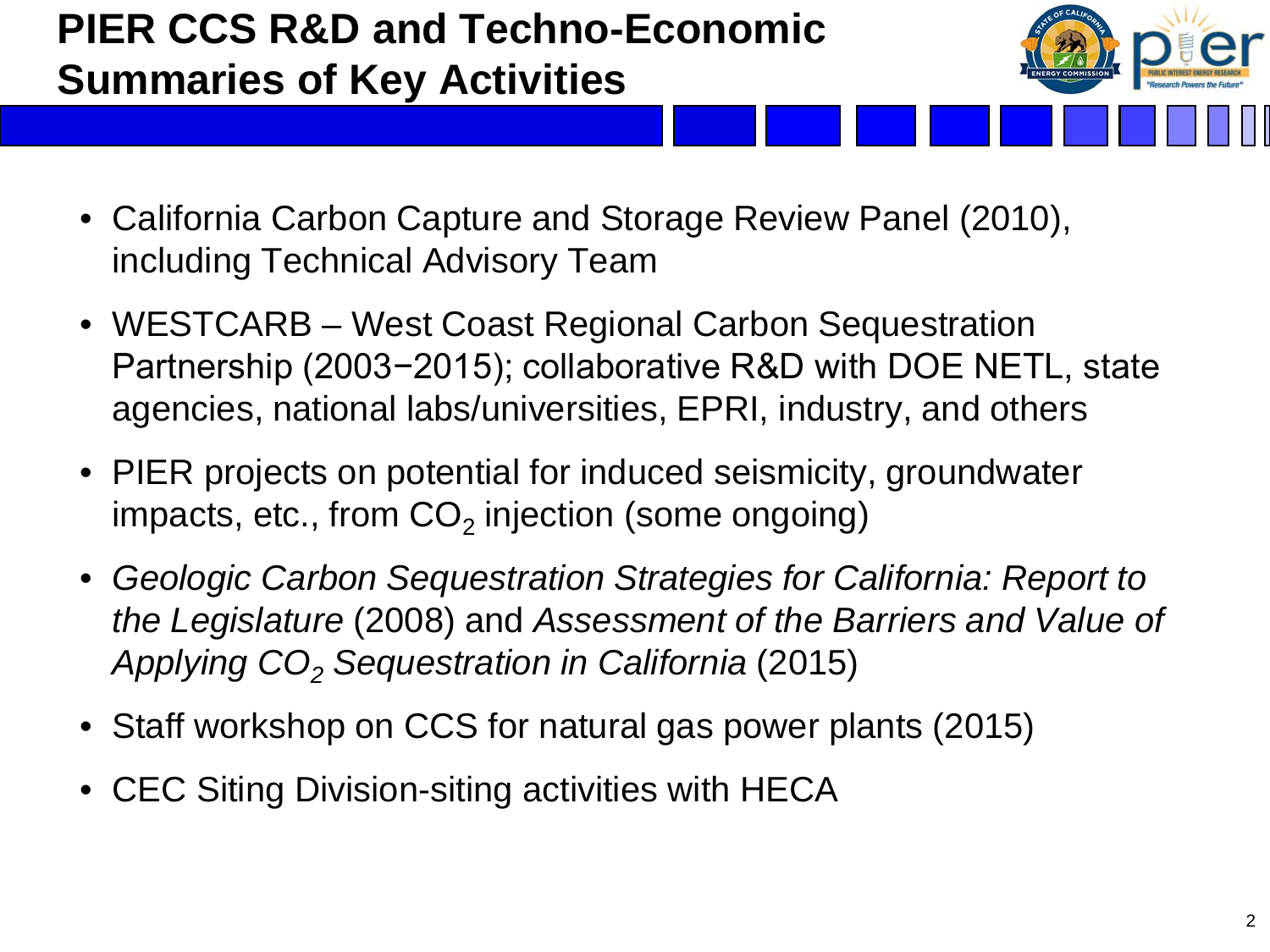# **PIER CCS R&D and Techno-Economic Summaries of Key Activities**



- California Carbon Capture and Storage Review Panel (2010), including Technical Advisory Team
- WESTCARB West Coast Regional Carbon Sequestration Partnership (2003−2015); collaborative R&D with DOE NETL, state agencies, national labs/universities, EPRI, industry, and others
- PIER projects on potential for induced seismicity, groundwater impacts, etc., from  $CO<sub>2</sub>$  injection (some ongoing)
- *Geologic Carbon Sequestration Strategies for California: Report to the Legislature* (2008) and *Assessment of the Barriers and Value of Applying CO2 Sequestration in California* (2015)
- Staff workshop on CCS for natural gas power plants (2015)
- CEC Siting Division-siting activities with HECA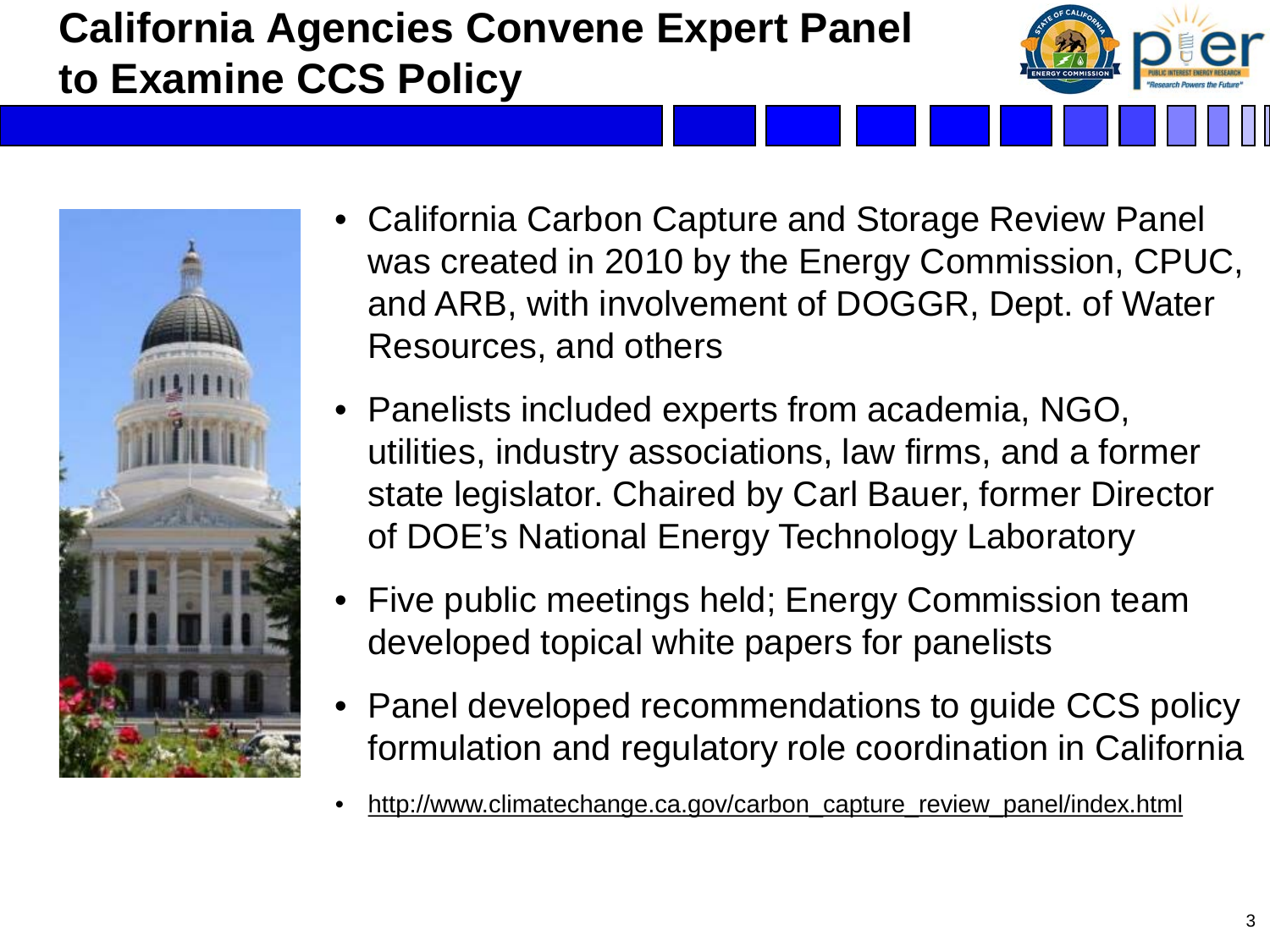# **California Agencies Convene Expert Panel to Examine CCS Policy**





- California Carbon Capture and Storage Review Panel was created in 2010 by the Energy Commission, CPUC, and ARB, with involvement of DOGGR, Dept. of Water Resources, and others
- Panelists included experts from academia, NGO, utilities, industry associations, law firms, and a former state legislator. Chaired by Carl Bauer, former Director of DOE's National Energy Technology Laboratory
- Five public meetings held; Energy Commission team developed topical white papers for panelists
- Panel developed recommendations to guide CCS policy formulation and regulatory role coordination in California
- http://www.climatechange.ca.gov/carbon\_capture\_review\_panel/index.html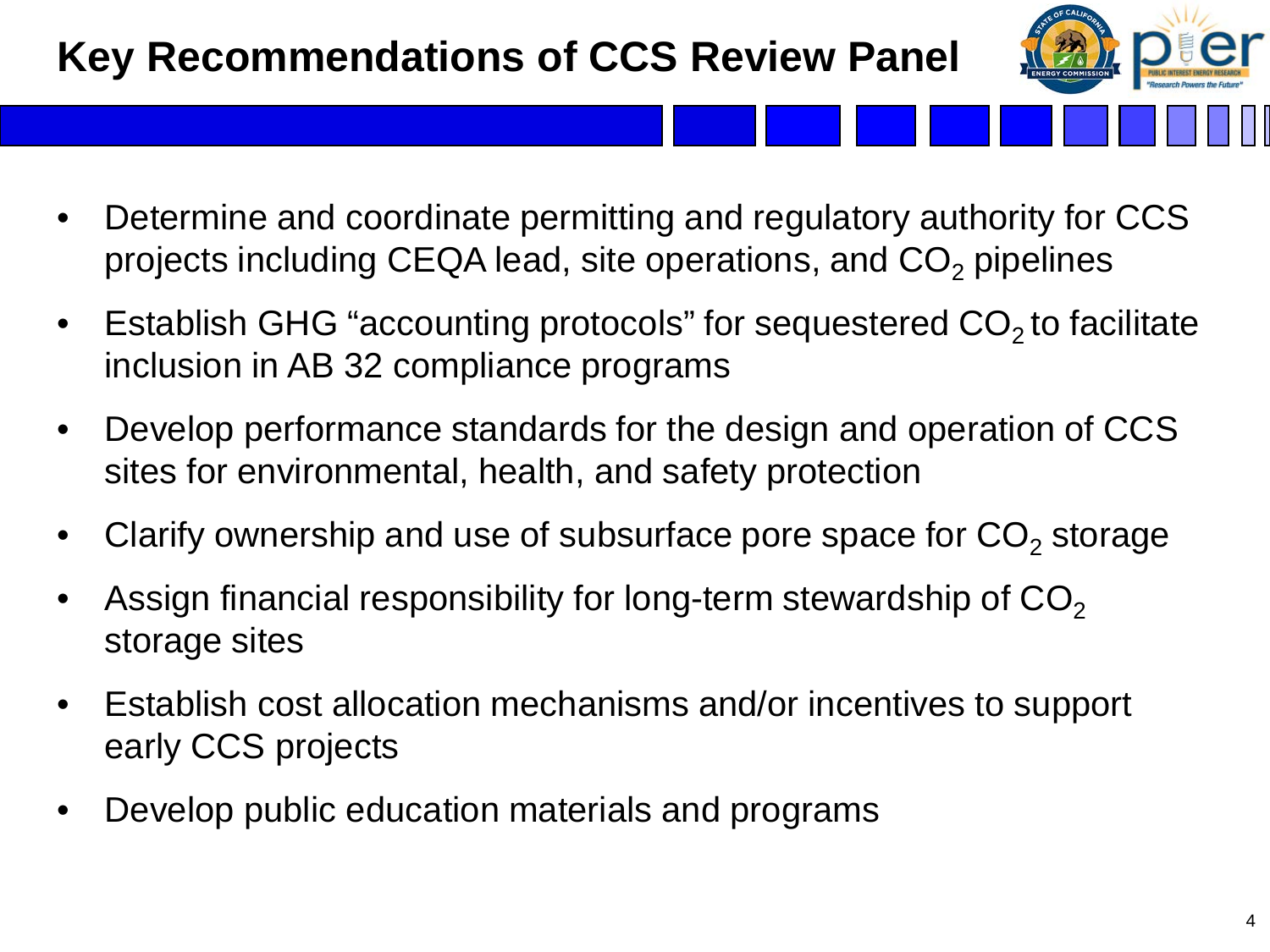# **Key Recommendations of CCS Review Panel**



- Determine and coordinate permitting and regulatory authority for CCS projects including CEQA lead, site operations, and  $CO<sub>2</sub>$  pipelines
- Establish GHG "accounting protocols" for sequestered  $CO<sub>2</sub>$  to facilitate inclusion in AB 32 compliance programs
- Develop performance standards for the design and operation of CCS sites for environmental, health, and safety protection
- Clarify ownership and use of subsurface pore space for  $CO<sub>2</sub>$  storage
- Assign financial responsibility for long-term stewardship of  $CO<sub>2</sub>$ storage sites
- Establish cost allocation mechanisms and/or incentives to support early CCS projects
- Develop public education materials and programs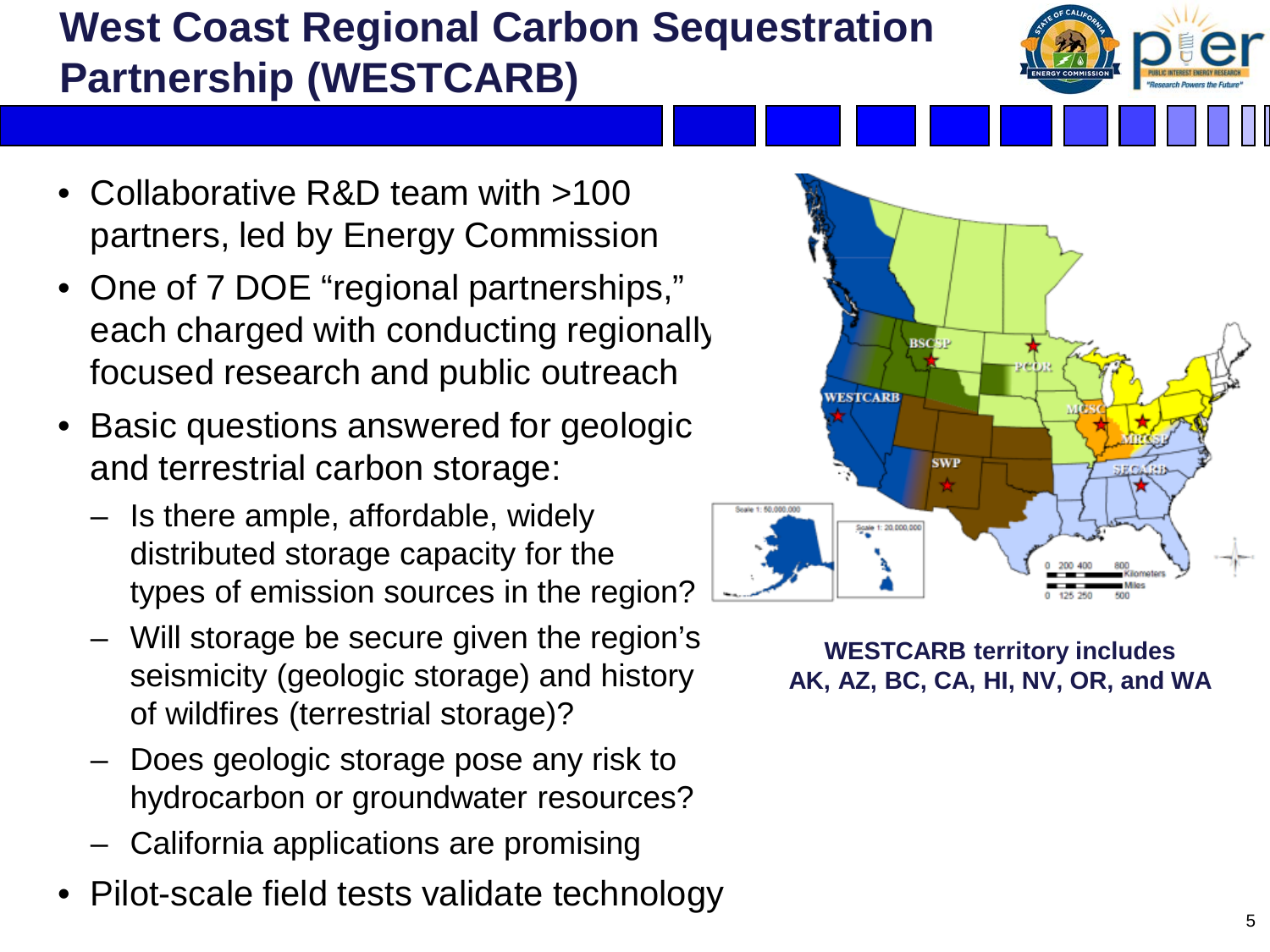# **West Coast Regional Carbon Sequestration Partnership (WESTCARB)**

- Collaborative R&D team with >100 partners, led by Energy Commission
- One of 7 DOE "regional partnerships," each charged with conducting regionally focused research and public outreach
- Basic questions answered for geologic and terrestrial carbon storage:
	- Is there ample, affordable, widely distributed storage capacity for the types of emission sources in the region?
	- Will storage be secure given the region's seismicity (geologic storage) and history of wildfires (terrestrial storage)?
	- Does geologic storage pose any risk to hydrocarbon or groundwater resources?
	- California applications are promising
- Pilot-scale field tests validate technology



**WESTCARB territory includes AK, AZ, BC, CA, HI, NV, OR, and WA**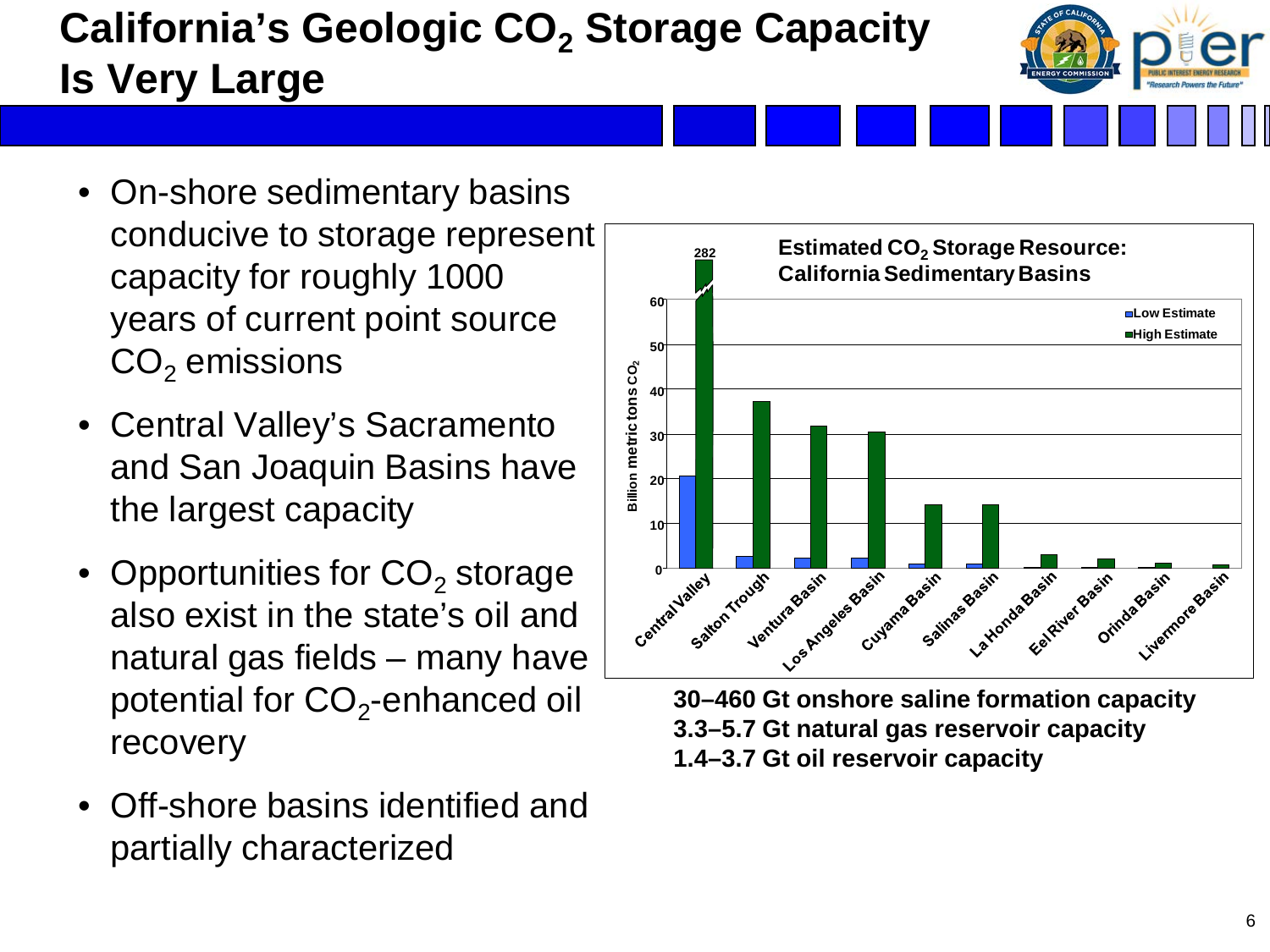# **California's Geologic CO<sub>2</sub> Storage Capacity Is Very Large**

- On-shore sedimentary basins conducive to storage represent capacity for roughly 1000 years of current point source  $CO<sub>2</sub>$  emissions
- Central Valley's Sacramento and San Joaquin Basins have the largest capacity
- Opportunities for  $CO<sub>2</sub>$  storage also exist in the state's oil and natural gas fields – many have potential for  $CO<sub>2</sub>$ -enhanced oil recovery
- Off-shore basins identified and partially characterized



**30–460 Gt onshore saline formation capacity 3.3–5.7 Gt natural gas reservoir capacity 1.4–3.7 Gt oil reservoir capacity**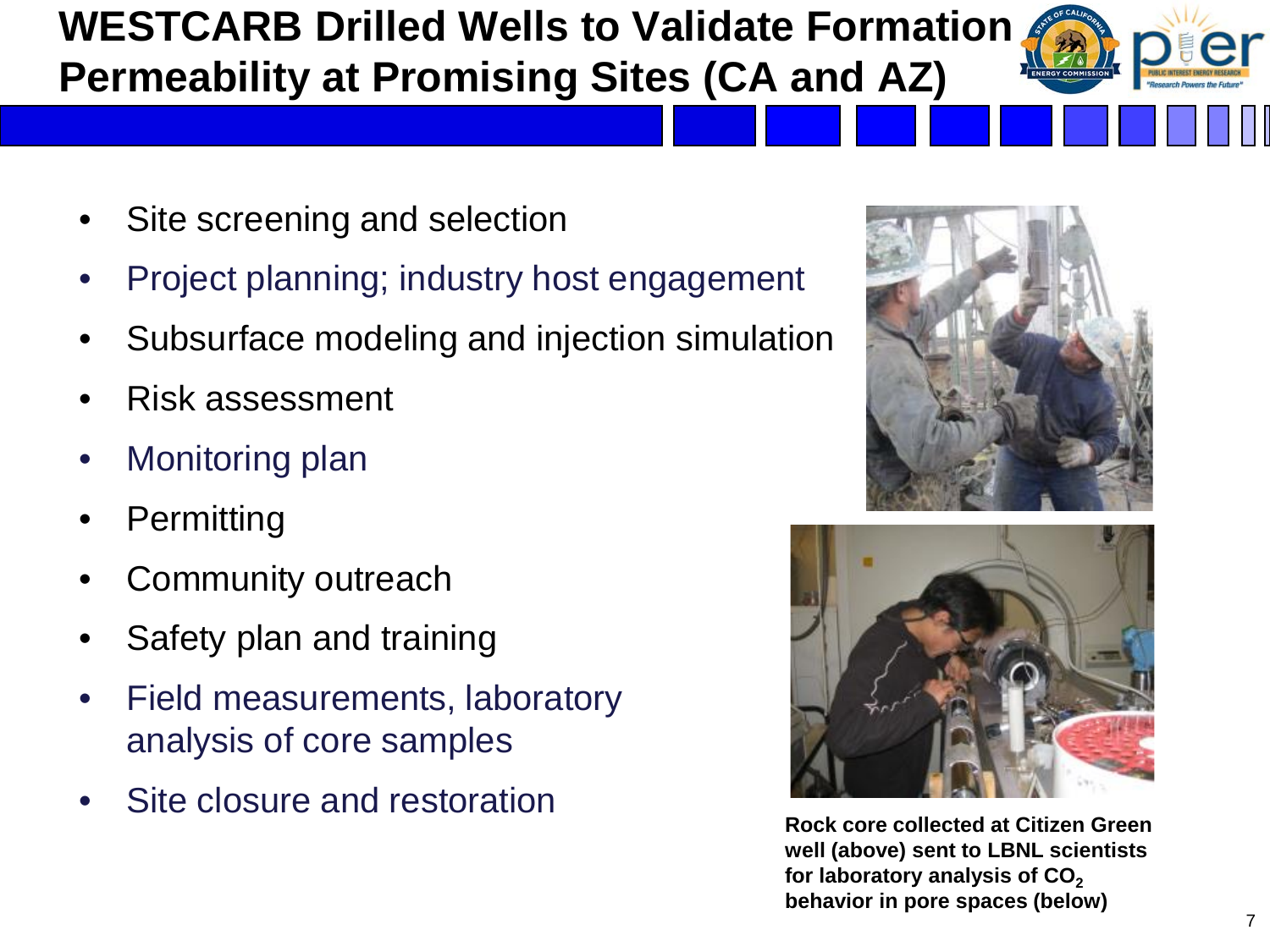## **WESTCARB Drilled Wells to Validate Formation Permeability at Promising Sites (CA and AZ)**

- Site screening and selection
- Project planning; industry host engagement
- Subsurface modeling and injection simulation
- Risk assessment
- Monitoring plan
- **Permitting**
- Community outreach
- Safety plan and training
- Field measurements, laboratory analysis of core samples
- Site closure and restoration





**Rock core collected at Citizen Green well (above) sent to LBNL scientists**  for laboratory analysis of CO<sub>2</sub> **behavior in pore spaces (below)**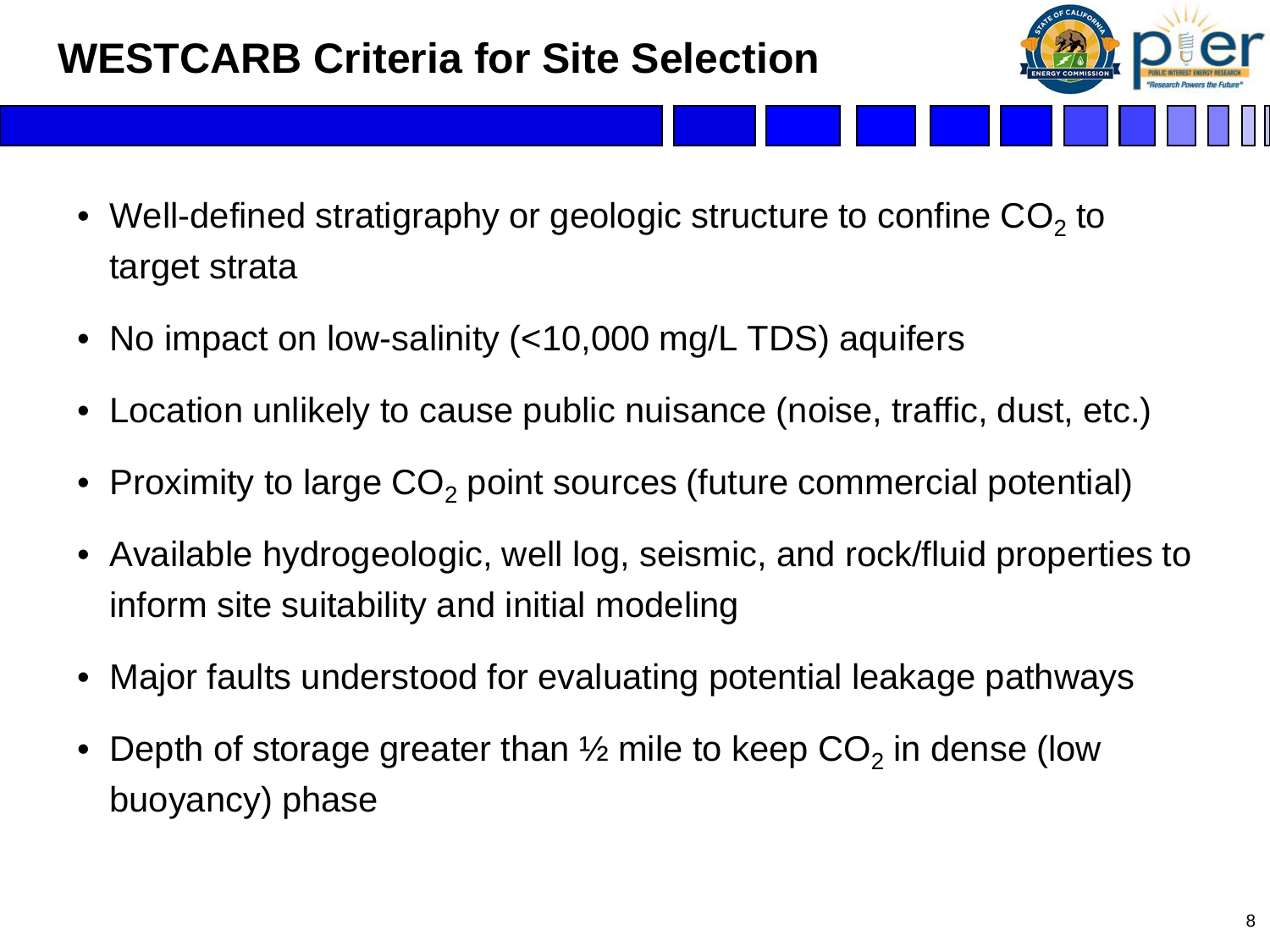## **WESTCARB Criteria for Site Selection**

- Well-defined stratigraphy or geologic structure to confine  $CO<sub>2</sub>$  to target strata
- No impact on low-salinity (<10,000 mg/L TDS) aquifers
- Location unlikely to cause public nuisance (noise, traffic, dust, etc.)
- Proximity to large  $CO<sub>2</sub>$  point sources (future commercial potential)
- Available hydrogeologic, well log, seismic, and rock/fluid properties to inform site suitability and initial modeling
- Major faults understood for evaluating potential leakage pathways
- Depth of storage greater than  $\frac{1}{2}$  mile to keep CO<sub>2</sub> in dense (low buoyancy) phase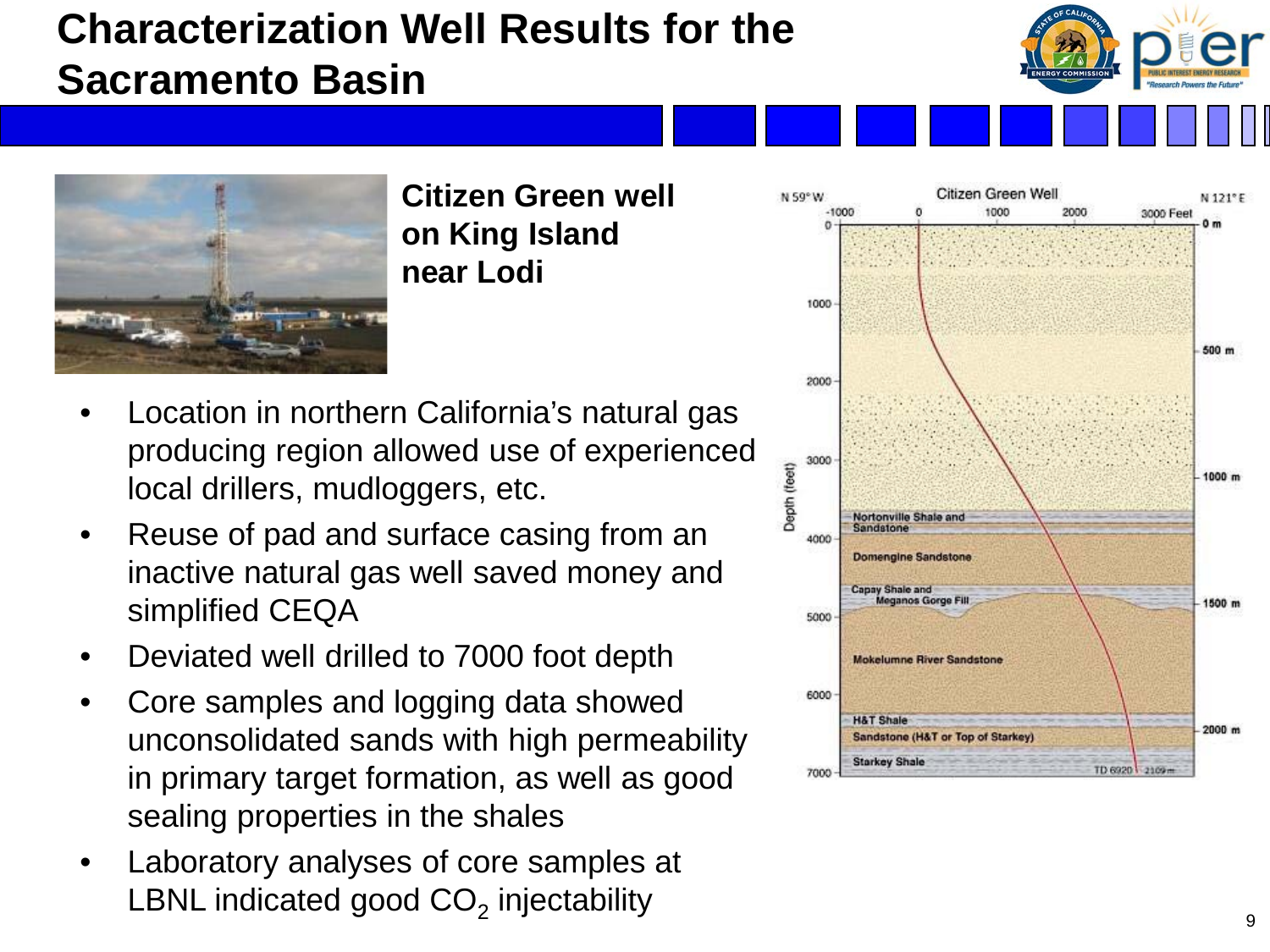### **Characterization Well Results for the Sacramento Basin**





**Citizen Green well on King Island near Lodi**

- Location in northern California's natural gas producing region allowed use of experienced local drillers, mudloggers, etc.
- Reuse of pad and surface casing from an inactive natural gas well saved money and simplified CEQA
- Deviated well drilled to 7000 foot depth
- Core samples and logging data showed unconsolidated sands with high permeability in primary target formation, as well as good sealing properties in the shales
- Laboratory analyses of core samples at LBNL indicated good  $CO<sub>2</sub>$  injectability  $99$

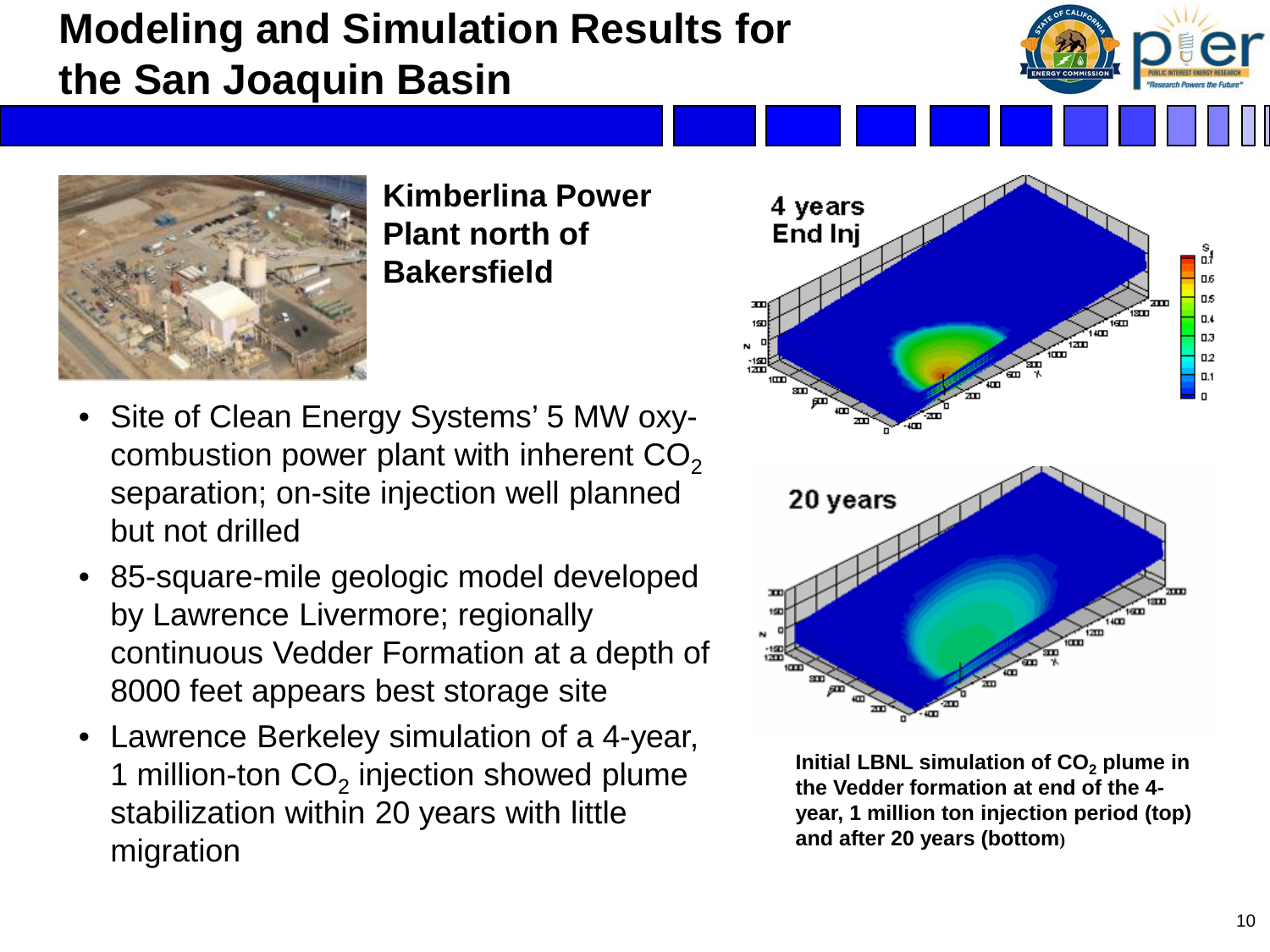## **Modeling and Simulation Results for the San Joaquin Basin**



**Kimberlina Power Plant north of Bakersfield**

- Site of Clean Energy Systems' 5 MW oxycombustion power plant with inherent  $CO<sub>2</sub>$ separation; on-site injection well planned but not drilled
- 85-square-mile geologic model developed by Lawrence Livermore; regionally continuous Vedder Formation at a depth of 8000 feet appears best storage site
- Lawrence Berkeley simulation of a 4-year, 1 million-ton  $CO<sub>2</sub>$  injection showed plume stabilization within 20 years with little migration



**Initial LBNL simulation of CO<sub>2</sub> plume in the Vedder formation at end of the 4 year, 1 million ton injection period (top) and after 20 years (bottom)**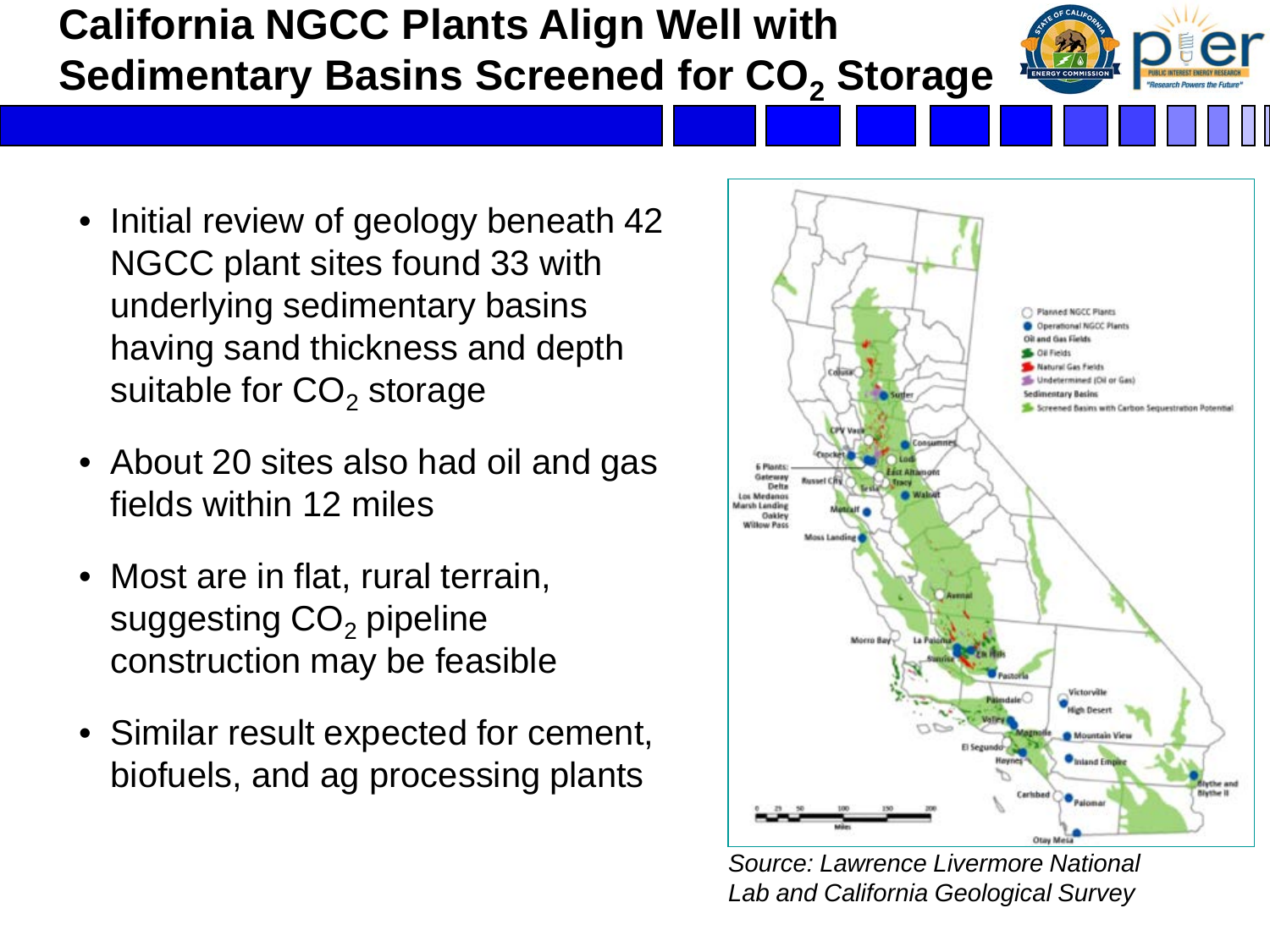#### **California NGCC Plants Align Well with Sedimentary Basins Screened for CO<sub>2</sub> Storage**

- Initial review of geology beneath 42 NGCC plant sites found 33 with underlying sedimentary basins having sand thickness and depth suitable for  $CO<sub>2</sub>$  storage
- About 20 sites also had oil and gas fields within 12 miles
- Most are in flat, rural terrain, suggesting  $CO<sub>2</sub>$  pipeline construction may be feasible
- Similar result expected for cement, biofuels, and ag processing plants



*Source: Lawrence Livermore National Lab and California Geological Survey*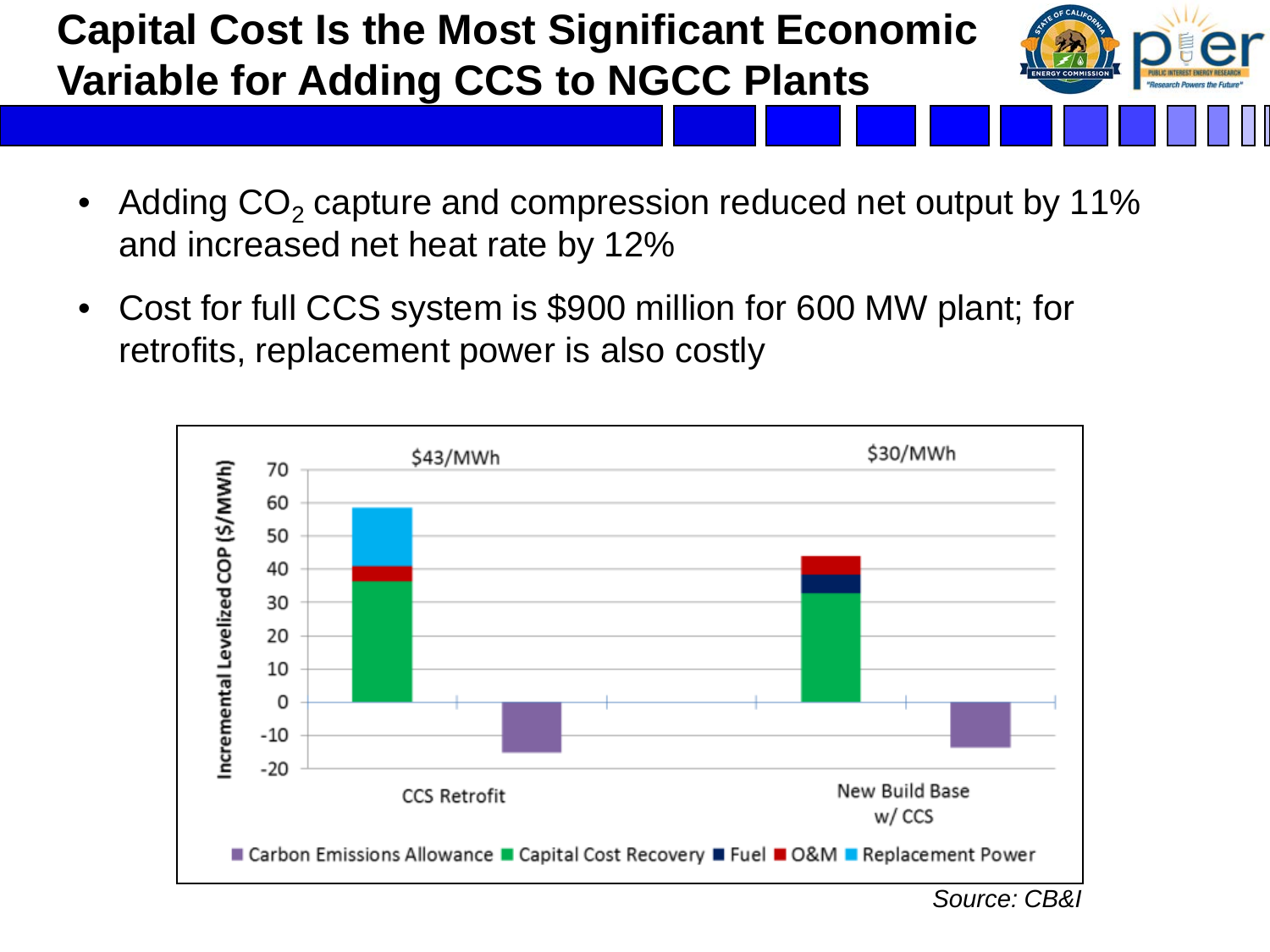# **Capital Cost Is the Most Significant Economic Variable for Adding CCS to NGCC Plants**



- Adding  $CO<sub>2</sub>$  capture and compression reduced net output by 11% and increased net heat rate by 12%
- Cost for full CCS system is \$900 million for 600 MW plant; for retrofits, replacement power is also costly

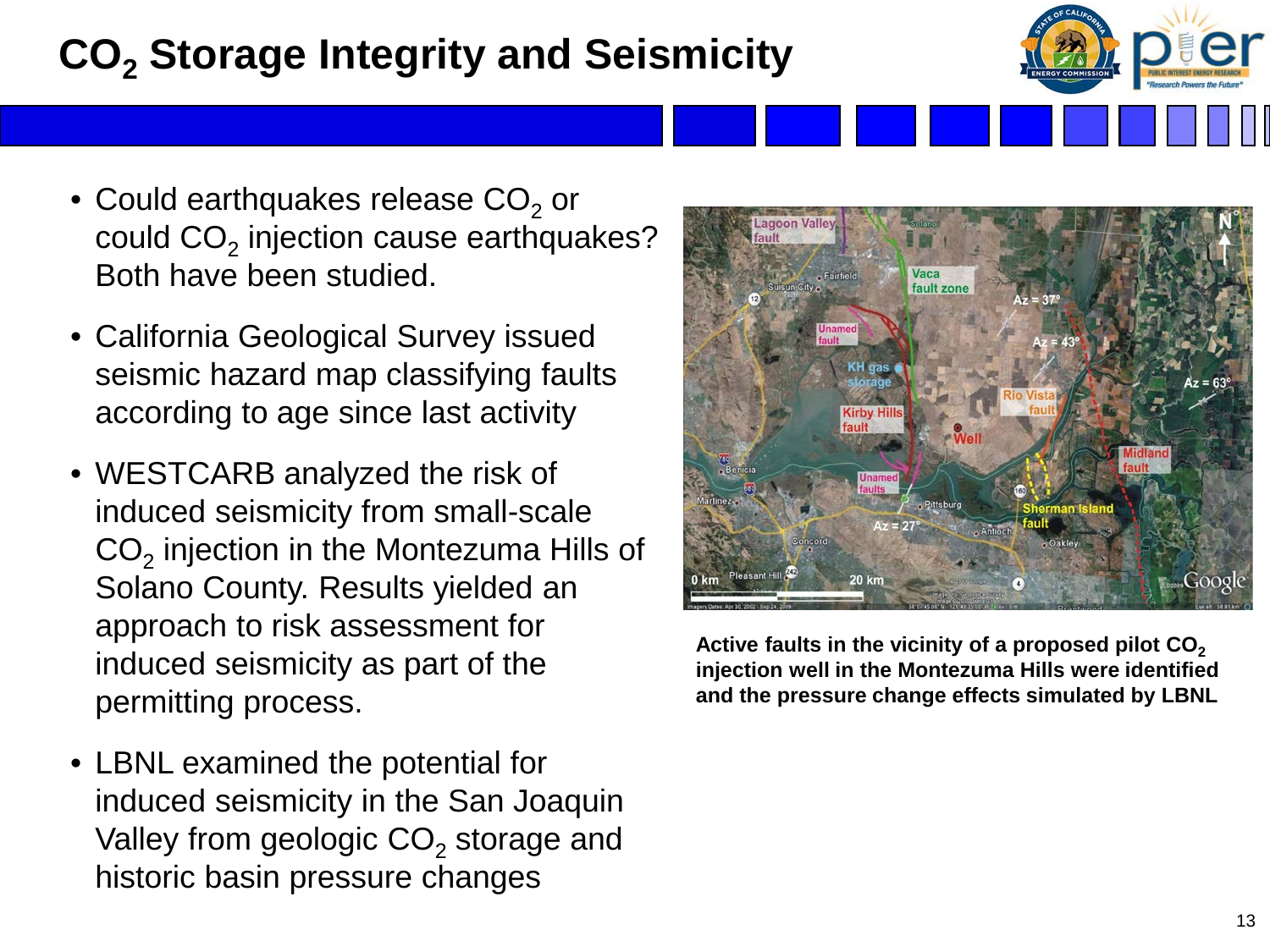# **CO2 Storage Integrity and Seismicity**

- Could earthquakes release  $CO<sub>2</sub>$  or could  $CO<sub>2</sub>$  injection cause earthquakes? Both have been studied.
- California Geological Survey issued seismic hazard map classifying faults according to age since last activity
- WESTCARB analyzed the risk of induced seismicity from small-scale  $CO<sub>2</sub>$  injection in the Montezuma Hills of Solano County. Results yielded an approach to risk assessment for induced seismicity as part of the permitting process.
- LBNL examined the potential for induced seismicity in the San Joaquin Valley from geologic  $CO<sub>2</sub>$  storage and historic basin pressure changes



Active faults in the vicinity of a proposed pilot CO<sub>2</sub> **injection well in the Montezuma Hills were identified and the pressure change effects simulated by LBNL**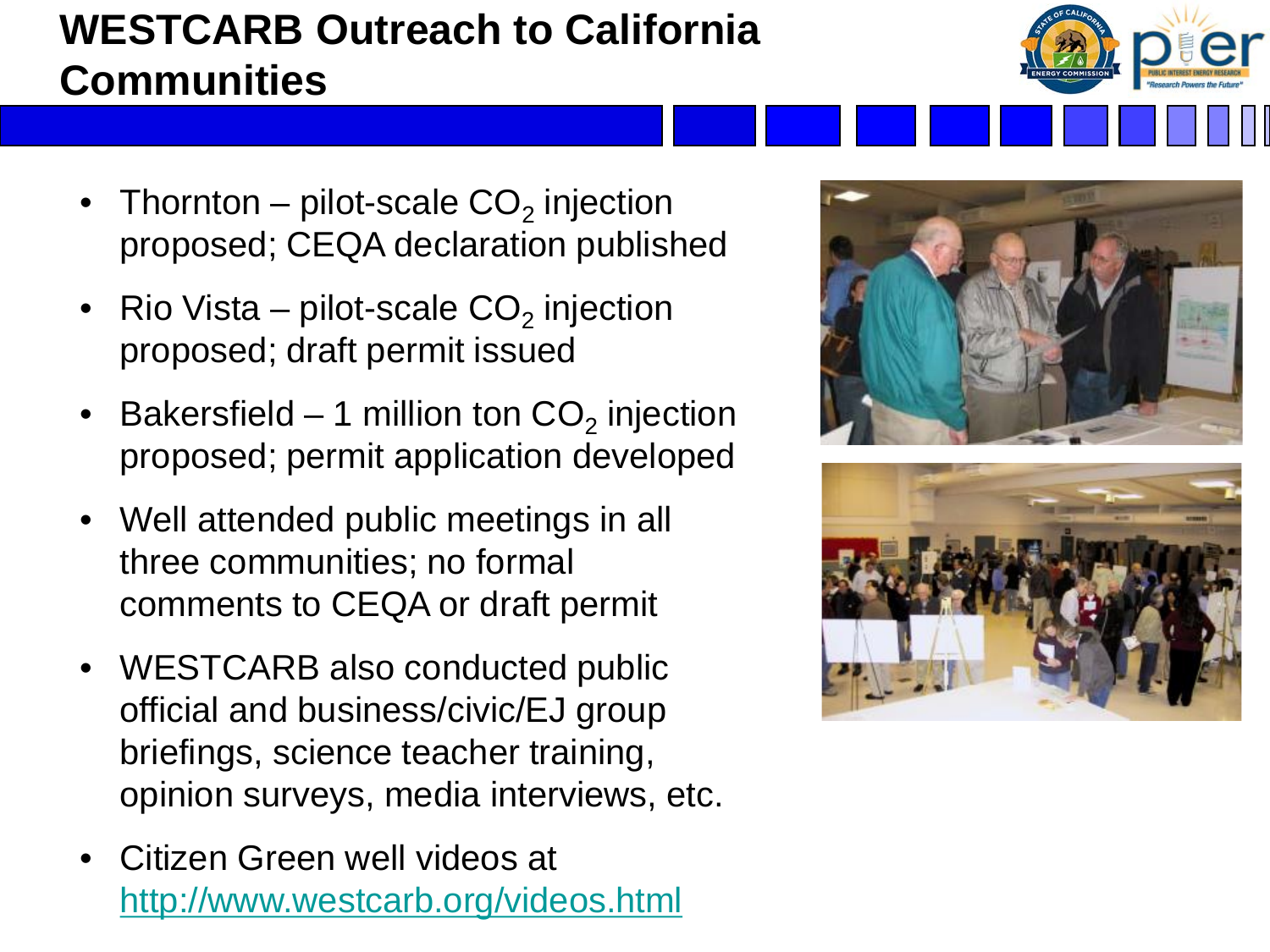# **WESTCARB Outreach to California Communities**

- Thornton pilot-scale  $CO<sub>2</sub>$  injection proposed; CEQA declaration published
- Rio Vista pilot-scale  $CO<sub>2</sub>$  injection proposed; draft permit issued
- Bakersfield 1 million ton  $CO<sub>2</sub>$  injection proposed; permit application developed
- Well attended public meetings in all three communities; no formal comments to CEQA or draft permit
- WESTCARB also conducted public official and business/civic/EJ group briefings, science teacher training, opinion surveys, media interviews, etc.
- Citizen Green well videos at <http://www.westcarb.org/videos.html>